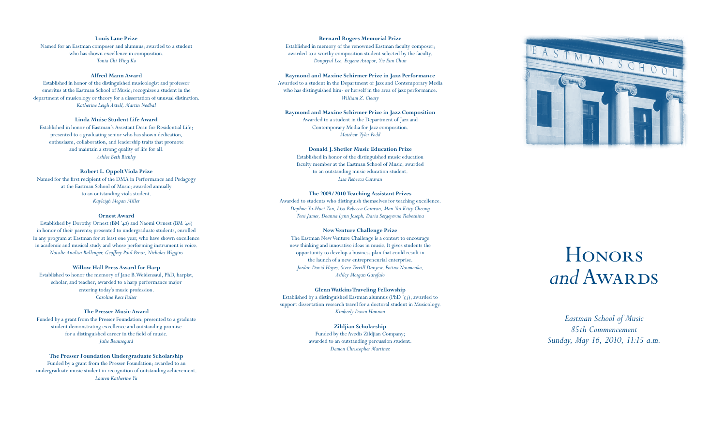*Eastman School of Music 85th Commencement Sunday, May 16, 2010, 11:15 a.m.*

### **Louis Lane Prize** Named for an Eastman composer and alumnus; awarded to a student

who has shown excellence in composition. *Tonia Chi Wing Ko*

## **Alfred Mann Award**

Established in honor of the distinguished musicologist and professor emeritus at the Eastman School of Music; recognizes a student in the department of musicology or theory for a dissertation of unusual distinction. *Katherine Leigh Axtell, Martin Nedbal*

## **Linda Muise Student Life Award**

Established in honor of Eastman's Assistant Dean for Residential Life; presented to a graduating senior who has shown dedication, enthusiasm, collaboration, and leadership traits that promote and maintain a strong quality of life for all. *Ashlee Beth Bickley*

Established by Dorothy Ornest (BM '42) and Naomi Ornest (BM '46) in honor of their parents; presented to undergraduate students, enrolled in any program at Eastman for at least one year, who have shown excellence in academic and musical study and whose performing instrument is voice. *Natalie Analisa Ballenger, Geoffrey Paul Penar, Nicholas Wiggins*

## **Robert L. Oppelt Viola Prize**

Named for the first recipient of the DMA in Performance and Pedagogy at the Eastman School of Music; awarded annually to an outstanding viola student. *Kayleigh Megan Miller*

## **Ornest Award**

#### **Willow Hall Press Award for Harp**

Established to honor the memory of Jane B.Weidensaul, PhD, harpist, scholar, and teacher; awarded to a harp performance major entering today's music profession. *Caroline Rose Palser*

#### **The Presser Music Award**

Funded by a grant from the Presser Foundation; presented to a graduate student demonstrating excellence and outstanding promise for a distinguished career in the field of music. *Julie Beauregard*

Established by a distinguished Eastman alumnus (PhD '53); awarded to support dissertation research travel for a doctoral student in Musicology. *Kimberly Dawn Hannon*

## **The Presser Foundation Undergraduate Scholarship**

Funded by a grant from the Presser Foundation; awarded to an undergraduate music student in recognition of outstanding achievement. *Lauren Katherine Yu*

#### **Bernard Rogers Memorial Prize**

Established in memory of the renowned Eastman faculty composer; awarded to a worthy composition student selected by the faculty. *Dongryul Lee, Eugene Astapov, Yie Eun Chun*

# **Raymond and Maxine Schirmer Prize in Jazz Performance**

Awarded to a student in the Department of Jazz and Contemporary Media who has distinguished him- or herself in the area of jazz performance. *William Z. Cleary*

# **Raymond and Maxine Schirmer Prize in Jazz Composition**

Awarded to a student in the Department of Jazz and Contemporary Media for Jazz composition. *Matthew Tyler Podd*

#### **Donald J. Shetler Music Education Prize**

Established in honor of the distinguished music education faculty member at the Eastman School of Music; awarded to an outstanding music education student. *Lisa Rebecca Caravan*

#### **The 2009/2010 Teaching Assistant Prizes**

Awarded to students who distinguish themselves for teaching excellence. *Daphne Yu-Huei Tan, Lisa Rebecca Caravan, Man Yui Kitty Cheung Toni James, Deanna Lynn Joseph, Daria Sergeyevna Rabotkina*

## **New Venture Challenge Prize**

The Eastman NewVenture Challenge is a contest to encourage new thinking and innovative ideas in music. It gives students the opportunity to develop a business plan that could result in the launch of a new entrepreneurial enterprise. *Jordan David Hayes, Steve Terrill Danyew, Fotina Naumenko, Ashley Morgan Garofalo*

#### **Glenn Watkins Traveling Fellowship**

#### **Zildjian Scholarship**

Funded by the Avedis Zildjian Company; awarded to an outstanding percussion student. *Damon Christopher Martinez*



# **HONORS** *and* Awards